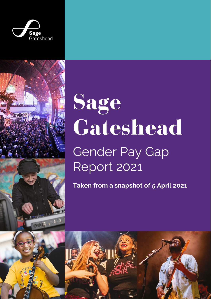



# Sage Gateshead Gender Pay Gap Report 2021

**Taken from a snapshot of 5 April 2021**



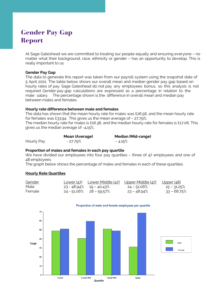## Gender Pay Gap Report

At Sage Gateshead we are committed to treating our people equally and ensuring everyone – no matter what their background, race, ethnicity or gender – has an opportunity to develop. This is really important to us.

#### **Gender Pay Gap**

The data to generate this report was taken from our payroll system using the snapshot date of 5 April 2021. The table below shows our overall mean and median gender pay gap based on hourly rates of pay. Sage Gateshead do not pay any employees bonus, so this analysis is not required. Gender pay gap calculations are expressed as a percentage in relation to the male salary. The percentage shown is the difference in overall mean and median pay between males and females.

#### **Hourly rate difference between male and females**

The data has shown that the mean hourly rate for males was £26.56, and the mean hourly rate for females was £33.94. This gives us the mean average of – 27.79%. The median hourly rate for males is £16.38, and the median hourly rate for females is £17.06. This gives us the median average of -4.15%.

|            | Mean (Average) | <b>Median (Mid-range)</b> |  |
|------------|----------------|---------------------------|--|
| Hourly Pay | - 27.79%       | $-4.15\%$                 |  |

#### **Proportion of males and females in each pay quartile**

We have divided our employees into four pay quartiles - three of 47 employees and one of 48 employees.

The graph below shows the percentage of males and females in each of these quartiles.

#### **Hourly Rate Quartiles**

| <u>Gender</u> | <u>Lower (47) Lower Middle (47) Upper Middle (47)</u> |                | <u> Upper (48)</u> |
|---------------|-------------------------------------------------------|----------------|--------------------|
| Male          | $23 - 48.94\%$ 19 - 40.43%                            | 24 – 51.06%    | $15 - 31.25\%$     |
| Female        | 24 - 51.06% 28 - 59.57%                               | $23 - 48.94\%$ | 33 - 68.75%        |